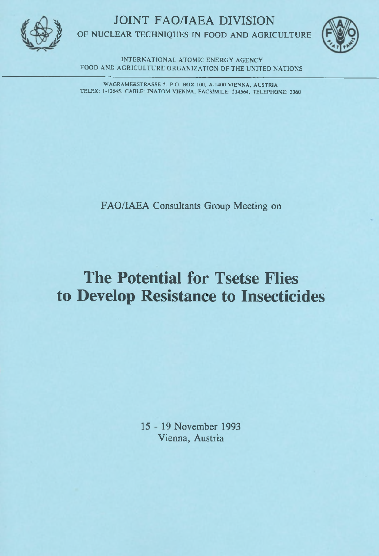**JOINT FAO/IAEA DIVISION** 



OF NUCLEAR TECHNIQUES IN FOOD AND AGRICULTURE



**INTERNATIONAL ATOMIC ENERGY AGENCY** FOOD AND AGRICULTURE ORGANIZATION OF THE UNITED NATIONS

WAGRAMERSTRASSE 5, P.O. BOX 100, A-1400 VIENNA, AUSTRIA TELEX: 1-12645, CABLE: INATOM VIENNA, FACSIMILE: 234564, TELEPHONE: 2360

FAO/IAEA Consultants Group Meeting on

# **The Potential for Tsetse Flies** to Develop Resistance to Insecticides

15 - 19 November 1993 Vienna, Austria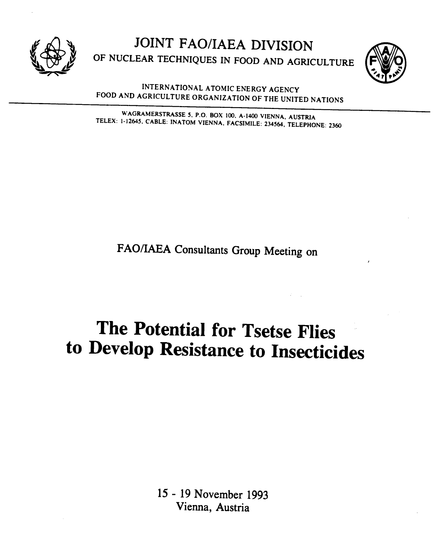



INTERNATIONAL ATOMIC ENERGY AGENCY FOOD AND AGRICULTURE ORGANIZATION OF THE UNITED NATIONS

WAGRAMERSTRASSE 5, P.O. BOX 100, A-1400 VIENNA, AUSTRIA TELEX: 1-12645, CABLE: INATOM VIENNA, FACSIMILE: 234564, TELEPHONE: 2360

FAO/IAEA Consultants Group Meeting on

# The Potential for Tsetse Flies to Develop Resistance to Insecticides

15 - 19 November 1993 Vienna, Austria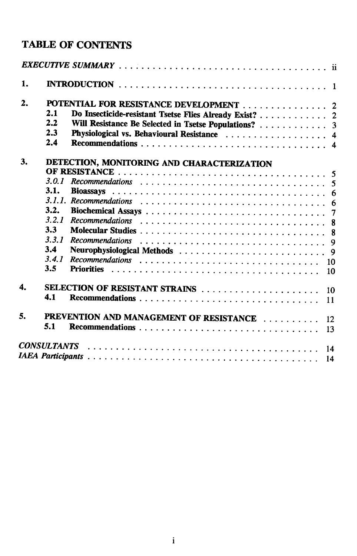## **TABLE OF CONTENTS**

| 1. |                                            |                                                        |  |
|----|--------------------------------------------|--------------------------------------------------------|--|
| 2. |                                            | POTENTIAL FOR RESISTANCE DEVELOPMENT 2                 |  |
|    | 2.1                                        | Do Insecticide-resistant Tsetse Flies Already Exist? 2 |  |
|    | 2.2                                        | Will Resistance Be Selected in Tsetse Populations?  3  |  |
|    | 2.3                                        | Physiological vs. Behavioural Resistance  4            |  |
|    | 2.4                                        |                                                        |  |
| 3. | DETECTION, MONITORING AND CHARACTERIZATION |                                                        |  |
|    |                                            |                                                        |  |
|    | 3.0.1                                      |                                                        |  |
|    | 3.1.                                       |                                                        |  |
|    |                                            |                                                        |  |
|    | 3.2.                                       |                                                        |  |
|    | 3.2.1                                      |                                                        |  |
|    | 3.3                                        |                                                        |  |
|    | 3.3.1                                      |                                                        |  |
| 5. | 3.4                                        |                                                        |  |
|    | 3.4.1                                      | 10                                                     |  |
|    | 3.5                                        | 10                                                     |  |
| 4. | SELECTION OF RESISTANT STRAINS<br>10       |                                                        |  |
|    | 4.1                                        | 11                                                     |  |
|    |                                            | PREVENTION AND MANAGEMENT OF RESISTANCE                |  |
|    | 5.1                                        | 12                                                     |  |
|    |                                            | 13                                                     |  |
|    |                                            | 14                                                     |  |
|    |                                            | 14                                                     |  |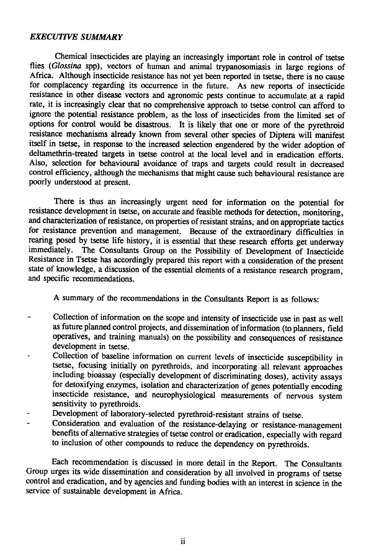#### EXECUTIVE SUMMARY

Chemical insecticides are playing an increasingly important role in control of tsetse flies (Glossina spp), vectors of human and animal trypanosomiasis in large regions of Africa. Although insecticide resistance has not yet been reported in tsetse, there is no cause for complacency regarding its occurrence in the future. As new reports of insecticide resistance in other disease vectors and agronomic pests continue to accumulate at a rapid rate, it is increasingly clear that no comprehensive approach to tsetse control can afford to ignore the potential resistance problem, as the loss of insecticides from the limited set of options for control would be disastrous. It is likely that one or more of the pyrethroid resistance mechanisms already known from several other species of Díptera will manifest itself in tsetse, in response to the increased selection engendered by the wider adoption of deltamethrin-treated targets in tsetse control at the local level and in eradication efforts. Also, selection for behavioural avoidance of traps and targets could result in decreased control efficiency, although the mechanisms that might cause such behavioural resistance are poorly understood at present.

There is thus an increasingly urgent need for information on the potential for resistance development in tsetse, on accurate and feasible methods for detection, monitoring, and characterization of resistance, on properties of resistant strains, and on appropriate tactics for resistance prevention and management. Because of the extraordinary difficulties in rearing posed by tsetse life history, it is essential that these research efforts get underway<br>immediately. The Consultants Group on the Possibility of Development of Insecticide The Consultants Group on the Possibility of Development of Insecticide Resistance in Tsetse has accordingly prepared this report with a consideration of the present state of knowledge, a discussion of the essential elements of a resistance research program, and specific recommendations.

A summary of the recommendations in the Consultants Report is as follows:

- Collection of information on the scope and intensity of insecticide use in past as well  $\frac{1}{2}$ as future planned control projects, and dissemination of information (to planners, field operatives, and training manuals) on the possibility and consequences of resistance development in tsetse.
- Collection of baseline information on current levels of insecticide susceptibility in tsetse, focusing initially on pyrethroids, and incorporating all relevant approaches including bioassay (especially development of discriminating doses), activity assays for detoxifying enzymes, isolation and characterization of genes potentially encoding insecticide resistance, and neurophysiological measurements of nervous system sensitivity to pyrethroids.
- Development of laboratory-selected pyrethroid-resistant strains of tsetse.
- Consideration and evaluation of the resistance-delaying or resistance-management benefits of alternative strategies of tsetse control or eradication, especially with regard to inclusion of other compounds to reduce the dependency on pyrethroids.

Each recommendation is discussed in more detail in the Report. The Consultants Group urges its wide dissemination and consideration by all involved in programs of tsetse control and eradication, and by agencies and funding bodies with an interest in science in the service of sustainable development in Africa.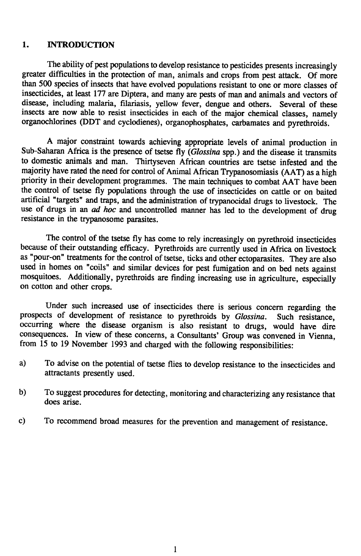### 1. INTRODUCTION

The ability of pest populations to develop resistance to pesticides presents increasingly greater difficulties in the protection of man, animals and crops from pest attack. Of more than 500 species of insects that have evolved populations resistant to one or more classes of insecticides, at least 177 are Diptera, and many are pests of man and animals and vectors of disease, including malaria, filariasis, yellow fever, dengue and others. Several of these insects are now able to resist insecticides in each of the major chemical classes, namely organochlorines (DDT and cyclodienes), organophosphates, carbamates and pyrethroids.

A major constraint towards achieving appropriate levels of animal production in Sub-Saharan Africa is the presence of tsetse  $\vec{H}y$  (Glossina spp.) and the disease it transmits to domestic animals and man. Thirtyseven African countries are tsetse infested and the majority have rated the need for control of Animal African Trypanosomiasis (AAT) as a high priority in their development programmes. The main techniques to combat AAT have been the control of tsetse Яу populations through the use of insecticides on cattle or on baited artificial "targets" and traps, and the administration of trypanocidal drugs to livestock. The use of drugs in an *ad hoc* and uncontrolled manner has led to the development of drug resistance in the trypanosome parasites.

The control of the tsetse fly has come to rely increasingly on pyrethroid insecticides because of their outstanding efficacy. Pyrethroids are currently used in Africa on livestock as "pour-on" treatments for the control of tsetse, ticks and other ectoparasites. They are also used in homes on "coils" and similar devices for pest fumigation and on bed nets against mosquitoes. Additionally, pyrethroids are finding increasing use in agriculture, especially on cotton and other crops.

Under such increased use of insecticides there is serious concern regarding the prospects of development of resistance to pyrethroids by Glossina. Such resistance, occurring where the disease organism is also resistant to drugs, would have dire consequences. In view of these concerns, a Consultants' Group was convened in Vienna, from 15 to 19 November 1993 and charged with the following responsibilities:

- a) To advise on the potential of tsetse Hies to develop resistance to the insecticides and attractants presently used.
- b) To suggest procedures for detecting, monitoring and characterizing any resistance that does arise.
- c) To recommend broad measures for the prevention and management of resistance.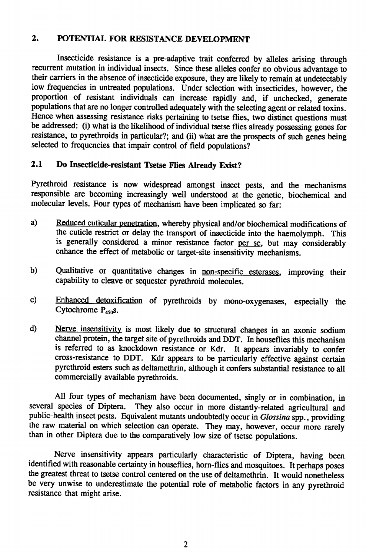### 2. POTENTIAL FOR RESISTANCE DEVELOPMENT

Insecticide resistance is a pre-adaptive trait conferred by alleles arising through recurrent mutation in individual insects. Since these alleles confer no obvious advantage to their carriers in the absence of insecticide exposure, they are likely to remain at undetectably low frequencies in untreated populations. Under selection with insecticides, however, the proportion of resistant individuals can increase rapidly and, if unchecked, generate populations that are no longer controlled adequately with the selecting agent or related toxins. Hence when assessing resistance risks pertaining to tsetse flies, two distinct questions must be addressed: (i) what is the likelihood of individual tsetse Hies already possessing genes for resistance, to pyrethroids in particular?; and (ii) what are the prospects of such genes being selected to frequencies that impair control of ñeld populations?

## 2.1 Do Insecticide-resistant Tsetse Flies Aiready Exist?

Pyrethroid resistance is now widespread amongst insect pests, and the mechanisms responsible are becoming increasingly well understood at the genetic, biochemical and molecular levels. Four types of mechanism have been implicated so far:

- a) Reduced cuticular penetration, whereby physical and/or biochemical modifications of the cuticle restrict or delay the transport of insecticide into the haemolymph. This is generally considered a minor resistance factor per se, but may considerably enhance the effect of metabolic or target-site insensitivity mechanisms.
- b) Qualitative or quantitative changes in non-specific esterases, improving their capability to cleave or sequester pyrethroid molecules.
- c) Enhanced detoxification of pyrethroids by mono-oxygenases, especially the Cytochrome  $P_{450}$ S.
- d) Nerve insensitivity is most likely due to structural changes in an axonic sodium channel protein, the target site of pyrethroids and DDT. In houseflies this mechanism is referred to as knockdown resistance or Kdr. It appears invariably to confer cross-resistance to DDT. Kdr appears to be particularly effective against certain pyrethroid esters such as deltamethrin, although it confers substantial resistance to all commercially available pyrethroids.

All four types of mechanism have been documented, singly or in combination, in several species of Diptera. They also occur in more distantly-related agricultural and public-health insect pests. Equivalent mutants undoubtedly occur in Glossina spp., providing the raw material on which selection can operate. They may, however, occur more rarely than in other Diptera due to the comparatively low size of tsetse populations.

Nerve insensitivity appears particularly characteristic of Diptera, having been identified with reasonable certainty in houseñies, hom-flies and mosquitoes. It perhaps poses the greatest threat to tsetse control centered on the use of deltamethrin. It would nonetheless be very unwise to underestimate the potential role of metabolic factors in any pyrethroid resistance that might arise.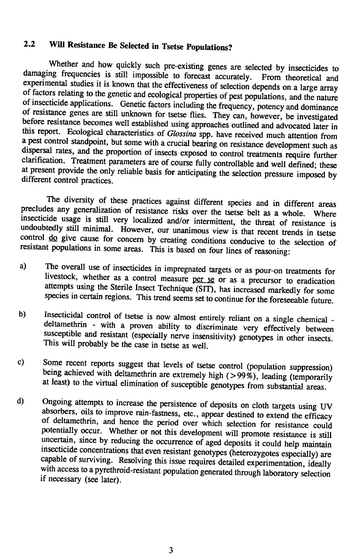## 2.2 WiH Resistance Be Selected in Tsetse Populations?

Whether and how quickly such pre-existing genes are selected by insecticides to damaging frequencies is still impossible to forecast accurately. From theoretical and experimental studies it is known that the effectiveness of selection depends on a large array of factors relating to the genetic and ecological properties of pest populations, and the nature of insecticide applications. Genetic factors including the frequency, potency and dominance of resistance genes are still unknown for tsetse ñies. They can, however, be investigated before resistance becomes well established using approaches outlined and advocated later in this report. Ecological characteristics of Glossina spp. have received much attention from a pest control standpoint, but some with a crucial bearing on resistance development such as dispersal rates, and the proportion of insects exposed to control treatments require further clarification. Treatment parameters are of course fully controllable and well deñned; these at present provide the only reliable basis for anticipating the selection pressure imposed by different control practices.

The diversity of these practices against different species and in different areas precludes any generalization of resistance risks over the tsetse belt as a whole. Where insecticide usage is still very localized and/or intermittent, the threat of resistance is undoubtedly still minimal. However, our unanimous view is that recent trends in tsetse control  $\overline{do}$  give cause for concern by creating conditions conducive to the selection of resistant populations in some areas. This is based on four lines of reasoning:

- a) The overall use of insecticides in impregnated targets or as pour-on treatments for livestock, whether as a control measure per se or as a precursor to eradication attempts using the Sterile Insect Technique (SIT), has increased markedly for some species in certain regions. This trend seems set to continue for the foreseeable future.
- b) Insecticidal control of tsetse is now almost entirely reliant on a single chemical deltamethrin - with a proven ability to discriminate very effectively between susceptible and resistant (especially nerve insensitivity) genotypes in other insects. This will probably be the case in tsetse as well.
- c) Some recent reports suggest that levels of tsetse control (population suppression) being achieved with deltamethrin are extremely high ( $>99\%$ ), leading (temporarily at least) to the virtual elimination of susceptible genotypes from substantial areas.
- d) Ongoing attempts to increase the persistence of deposits on cloth targets using UV absorbers, oils to improve rain-fastness, etc., appear destined to extend the efñcacy of deltamethrin, and hence the period over which selection for resistance could potentially occur. Whether or not this development will promote resistance is still uncertain, since by reducing the occurrence of aged deposits it could help maintain insecticide concentrations that even resistant genotypes (heterozygotes especially) are capable of surviving. Resolving this issue requires detailed experimentation, ideally with access to a pyrethroid-resistant population generated through laboratory selection if necessary (see later).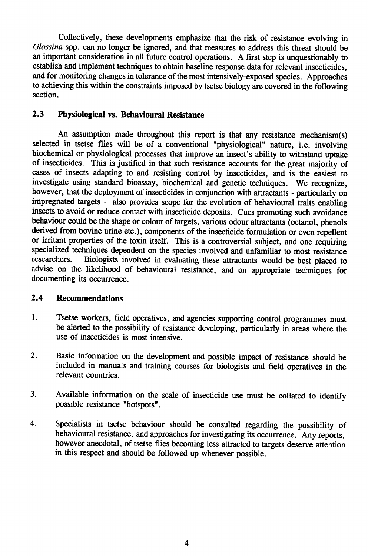Collectively, these developments emphasize that the risk of resistance evolving in Glossina spp. can no longer be ignored, and that measures to address this threat should be an important consideration in all future control operations. A first step is unquestionably to establish and implement techniques to obtain baseline response data for relevant insecticides, and for monitoring changes in tolerance of the most intensively-exposed species. Approaches to achieving this within the constraints imposed by tsetse biology are covered in the following section.

#### 2.3 Physiological vs. Behavioural Resistance

An assumption made throughout this report is that any resistance mechanism(s) selected in tsetse flies will be of a conventional "physiological" nature, i.e. involving biochemical or physiological processes that improve an insect's ability to withstand uptake of insecticides. This is justified in that such resistance accounts for the great majority of cases of insects adapting to and resisting control by insecticides, and is the easiest to investigate using standard bioassay, biochemical and genetic techniques. We recognize, however, that the deployment of insecticides in conjunction with attractants - particularly on impregnated targets - also provides scope for the evolution of behavioural traits enabling insects to avoid or reduce contact with insecticide deposits. Cues promoting such avoidance behaviour could be the shape or colour of targets, various odour attractants (octanol, phenols derived from bovine urine etc.), components of the insecticide formulation or even repellent or irritant properties of the toxin itself. This is a controversial subject, and one requiring specialized techniques dependent on the species involved and unfamiliar to most resistance<br>researchers. Biologists involved in evaluating these attractants would be best placed to Biologists involved in evaluating these attractants would be best placed to advise on the likelihood of behavioural resistance, and on appropriate techniques for documenting its occurrence.

#### 2.4 Recommendations

- 1. Tsetse workers, field operatives, and agencies supporting control programmes must be alerted to the possibility of resistance developing, particularly in areas where the use of insecticides is most intensive.
- 2. Basic information on the development and possible impact of resistance should be included in manuals and training courses for biologists and field operatives in the relevant countries.
- 3. Available information on the scale of insecticide use must be collated to identify possible resistance "hotspots".
- 4. Specialists in tsetse behaviour should be consulted regarding the possibility of behavioural resistance, and approaches for investigating its occurrence. Any reports, however anecdotal, of tsetse ñies becoming less attracted to targets deserve attention in this respect and should be followed up whenever possible.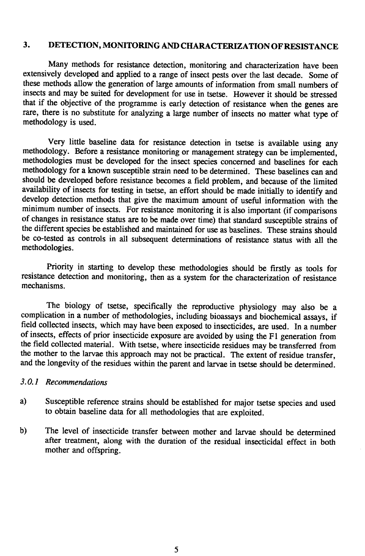#### 3. DETECTION, MONITORING AND CHARACTERIZATION OF RESISTANCE

Many methods for resistance detection, monitoring and characterization have been extensively developed and applied to a range of insect pests over the last decade. Some of these methods allow the generation of large amounts of information from small numbers of insects and may be suited for development for use in tsetse. However it should be stressed that if the objective of the programme is early detection of resistance when the genes are rare, there is no substitute for analyzing a large number of insects no matter what type of methodology is used.

Very little baseline data for resistance detection in tsetse is available using any methodology. Before a resistance monitoring or management strategy can be implemented, methodologies must be developed for the insect species concerned and baselines for each methodology for a known susceptible strain need to be determined. These baselines can and should be developed before resistance becomes a field problem, and because of the limited availability of insects for testing in tsetse, an effort should be made initially to identify and develop detection methods that give the maximum amount of useful information with the minimum number of insects. For resistance monitoring it is also important (if comparisons of changes in resistance status are to be made over time) that standard susceptible strains of the different species be established and maintained for use as baselines. These strains should be co-tested as controls in all subsequent determinations of resistance status with all the methodologies.

Priority in starting to develop these methodologies should be firstly as tools for resistance detection and monitoring, then as a system for the characterization of resistance mechanisms.

The biology of tsetse, specifically the reproductive physiology may also be a complication in a number of methodologies, including bioassays and biochemical assays, if field collected insects, which may have been exposed to insecticides, are used. In a number of insects, effects of prior insecticide exposure are avoided by using the F1 generation from the field collected material. With tsetse, where insecticide residues may be transferred from the mother to the larvae this approach may not be practical. The extent of residue transfer, and the longevity of the residues within the parent and larvae in tsetse should be determined.

#### 3.0.1 Recommendations

- Susceptible reference strains should be established for major tsetse species and used  $a)$ to obtain baseline data for all methodologies that are exploited.
- The level of insecticide transfer between mother and larvae should be determined b) after treatment, along with the duration of the residual insecticidal effect in both mother and offspring.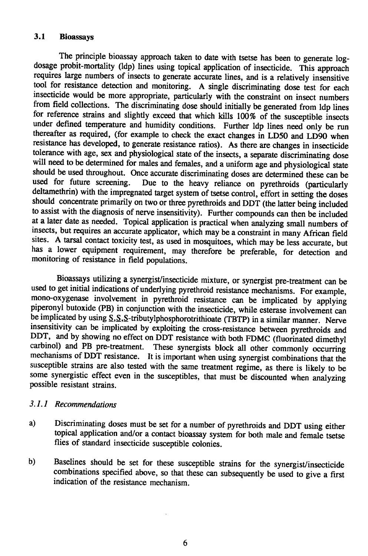#### 3.1 Bioassays

The principle bioassay approach taken to date with tsetse has been to generate logdosage probit-mortality (ldp) lines using topical application of insecticide. This approach requires large numbers of insects to generate accurate lines, and is a relatively insensitive tool for resistance detection and monitoring. A single discriminating dose test for each insecticide would be more appropriate, particularly with the constraint on insect numbers from ñeld collections. The discriminating dose should initially be generated from ldp lines for reference strains and slightly exceed that which kills 100% of the susceptible insects under deñned temperature and humidity conditions. Further ldp lines need only be run thereafter as required, (for example to check the exact changes in LD50 and LD90 when resistance has developed, to generate resistance ratios). As there are changes in insecticide tolerance with age, sex and physiological state of the insects, a separate discriminating dose will need to be determined for males and females, and a uniform age and physiological state should be used throughout. Once accurate discriminating doses are determined these can be used for future screening. Due to the heavy reliance on pyrethroids (particularly Due to the heavy reliance on pyrethroids (particularly deltamethrin) with the impregnated target system of tsetse control, effort in setting the doses should concentrate primarily on two or three pyrethroids and DDT (the latter being included to assist with the diagnosis of nerve insensitivity). Further compounds can then be included at a later date as needed. Topical application is practical when analyzing small numbers of insects, but requires an accurate applicator, which may be a constraint in many African ñeld sites. A tarsal contact toxicity test, as used in mosquitoes, which may be less accurate, but has a lower equipment requirement, may therefore be preferable, for detection and monitoring of resistance in ñeld populations.

Bioassays utilizing a synergist/insecticide mixture, or synergist pre-treatment can be used to get initial indications of underlying pyrethroid resistance mechanisms. For example, mono-oxygenase involvement in pyrethroid resistance can be implicated by applying piperonyl butoxide (PB) in conjunction with the insecticide, while esterase involvement can be implicated by using S,S,S-tributylphosphorotrithioate (TBTP) in a similar manner. Nerve insensitivity can be implicated by exploiting the cross-resistance between pyrethroids and DDT, and by showing no effect on DDT resistance with both FDMC (fluorinated dimethyl carbinol) and PB pre-treatment. These synergists block all other commonly occurring mechanisms of DDT resistance. It is important when using synergist combinations that the susceptible strains are also tested with the same treatment regime, as there is likely to be some synergistic effect even in the susceptibles, that must be discounted when analyzing possible resistant strains.

#### 3.1.1 Recommendations

- a) Discriminating doses must be set for a number of pyrethroids and DDT using either topical application and/or a contact bioassay system for both male and female tsetse flies of standard insecticide susceptible colonies.
- b) Baselines should be set for these susceptible strains for the synergist/insecticide combinations speciñed above, so that these can subsequently be used to give a ñrst indication of the resistance mechanism.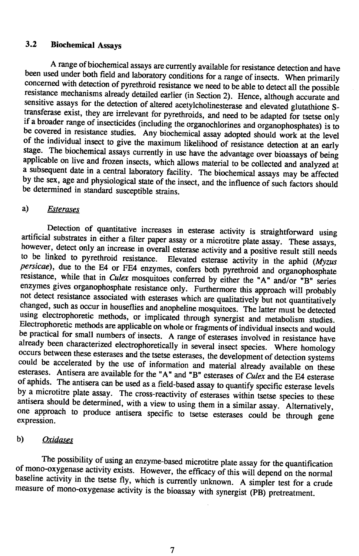## 3.2 Biochemical Assays

A range of biochemical assays are currently available for resistance detection and have been used under both field and laboratory conditions for a range of insects. When primarily concerned with detection of pyrethroid resistance we need to be able to detect all the possible resistance mechanisms already detailed earlier (in Section 2). Hence, although accurate and sensitive assays for the detection of altered acetylcholinesterase and elevated glutathione Stransferase exist, they are irrelevant for pyrethroids, and need to be adapted for tsetse only if a broader range of insecticides (including the organochlorines and organophosphates) is to be covered in resistance studies. Any biochemical assay adopted should work at the level of the individual insect to give the maximum likelihood of resistance detection at an early stage. The biochemical assays currently in use have the advantage over bioassays of being applicable on live and frozen insects, which allows material to be collected and analyzed at a subsequent date in a central laboratory facility. The biochemical assays may be affected by the sex, age and physiological state of the insect, and the influence of such factors should be determined in standard susceptible strains.

#### a) Esterases

Detection of quantitative increases in esterase activity is straightforward using artificial substrates in either a ñlter paper assay or a microtitre plate assay. These assays, however, detect only an increase in overall esterase activity and a positive result still needs to be linked to pyrethroid resistance. Elevated esterase activity in the aphid  $(Myzus)$ persicae), due to the E4 or FE4 enzymes, confers both pyrethroid and organophosphate resistance, while that in *Culex* mosquitoes conferred by either the "A" and/or "B" series enzymes gives organophosphate resistance only. Furthermore this approach will probably not detect resistance associated with esterases which are qualitatively but not quantitatively changed, such as occur in houseflies and anopheline mosquitoes. The latter must be detected using electrophoretic methods, or implicated through synergist and metabolism studies. Electrophoretic methods are applicable on whole or fragments of individual insects and would be practical for small numbers of insects. A range of esterases involved in resistance have already been characterized electrophoretically in several insect species. Where homology occurs between these esterases and the tsetse esterases, the development of detection systems could be accelerated by the use of information and material already available on these esterases. Antisera are available for the "A" and "B" esterases of *Culex* and the E4 esterase of aphids. The antisera can be used as a field-based assay to quantify specific esterase levels by a microtitre plate assay. The cross-reactivity of esterases within tsetse species to these antisera should be determined, with a view to using them in a similar assay. Alternatively, one approach to produce antisera specific to tsetse esterases could be through gene  $\epsilon$  expression.

#### b) Oxidases

The possibility of using an enzyme-based microtitre plate assay for the quantification of mono-oxygenase activity exists. However, the efficacy of this will depend on the normal baseline activity in the tsetse fly, which is currently unknown. A simpler test for a crude measure of mono-oxygenase activity is the bioassay with synergist (PB) pretreatment.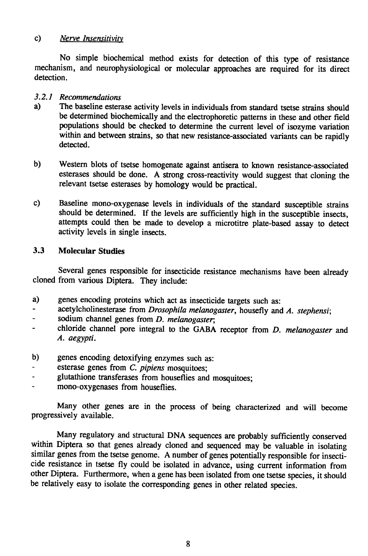#### $c)$ Nerve Insensitivity

No simple biochemical method exists for detection of this type of resistance mechanism, and neurophysiological or molecular approaches are required for its direct detection.

#### 3.2.1 Recommendations

- $a)$ The baseline esterase activity levels in individuals from standard tsetse strains should be determined biochemically and the electrophoretic patterns in these and other field populations should be checked to determine the current level of isozyme variation within and between strains, so that new resistance-associated variants can be rapidly detected.
- b) Western blots of tsetse homogenate against antisera to known resistance-associated esterases should be done. A strong cross-reactivity would suggest that cloning the relevant tsetse esterases by homology would be practical.
- Baseline mono-oxygenase levels in individuals of the standard susceptible strains c) should be determined. If the levels are sufficiently high in the susceptible insects, attempts could then be made to develop a microtitre plate-based assay to detect activity levels in single insects.

#### $3.3$ **Molecular Studies**

Several genes responsible for insecticide resistance mechanisms have been already cloned from various Diptera. They include:

- a) genes encoding proteins which act as insecticide targets such as:
- acetylcholinesterase from Drosophila melanogaster, housefly and A. stephensi;  $\blacksquare$
- sodium channel genes from D. melanogaster;
- chloride channel pore integral to the GABA receptor from D. melanogaster and  $\overline{a}$ A. aegypti.
- b) genes encoding detoxifying enzymes such as:
- esterase genes from C. pipiens mosquitoes;
- glutathione transferases from houseflies and mosquitoes;
- mono-oxygenases from houseflies.

Many other genes are in the process of being characterized and will become progressively available.

Many regulatory and structural DNA sequences are probably sufficiently conserved within Diptera so that genes already cloned and sequenced may be valuable in isolating similar genes from the tsetse genome. A number of genes potentially responsible for insecticide resistance in tsetse fly could be isolated in advance, using current information from other Diptera. Furthermore, when a gene has been isolated from one tsetse species, it should be relatively easy to isolate the corresponding genes in other related species.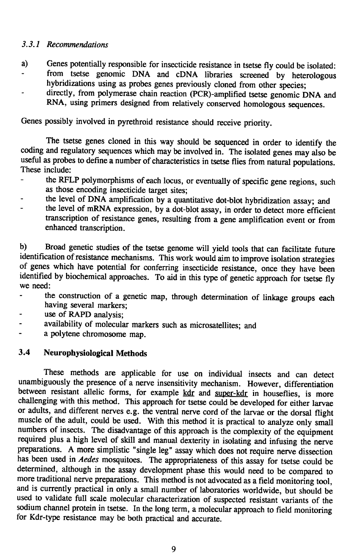#### 3.3.1 Recommendations

- a) Genes potentially responsible for insecticide resistance in tsetse fly could be isolated: from tsetse genomic DNA and cDNA libraries screened by heterologous hybridizations using as probes genes previously cloned from other species;
- directly, from polymerase chain reaction (PCR)-amplified tsetse genomic DNA and RNA, using primers designed from relatively conserved homologous sequences.

Genes possibly involved in pyrethroid resistance should receive priority.

The tsetse genes cloned in this way should be sequenced in order to identify the coding and regulatory sequences which may be involved in. The isolated genes may also be useful as probes to define a number of characteristics in tsetse flies from natural populations. These include:

- the RFLP polymorphisms of each locus, or eventually of specific gene regions, such as those encoding insecticide target sites;
- the level of DNA amplification by a quantitative dot-blot hybridization assay; and
- the level of mRNA expression, by a dot-blot assay, in order to detect more efficient transcription of resistance genes, resulting from a gene amplification event or from enhanced transcription.

b) Broad genetic studies of the tsetse genome will yield tools that can facilitate future identification of resistance mechanisms. This work would aim to improve isolation strategies of genes which have potential for conferring insecticide resistance, once they have been identified by biochemical approaches. To aid in this type of genetic approach for tsetse fly we need:

- the construction of a genetic map, through determination of linkage groups each having several markers;
- use of RAPD analysis;
- availability of molecular markers such as microsatellites; and  $\overline{\phantom{0}}$
- a polytene chromosome map.

#### 3.4 Neurophysiologica! Methods

These methods are applicable for use on individual insects and can detect unambiguously the presence of a nerve insensitivity mechanism. However, differentiation between resistant allelic forms, for example kdr and super-kdr in houseflies, is more challenging with this method. This approach for tsetse could be developed for either larvae or adults, and different nerves e.g. the ventral nerve cord of the larvae or the dorsal flight muscle of the adult, could be used. With this method it is practical to analyze only small numbers of insects. The disadvantage of this approach is the complexity of the equipment required plus a high level of skill and manual dexterity in isolating and infusing the nerve preparations. A more simplistic "single leg" assay which does not require nerve dissection has been used in *Aedes* mosquitoes. The appropriateness of this assay for tsetse could be determined, although in the assay development phase this would need to be compared to more traditional nerve preparations. This method is not advocated as a field monitoring tool, and is currently practical in only a small number of laboratories worldwide, but should be used to validate full scale molecular characterization of suspected resistant variants of the sodium channel protein in tsetse. In the long term, a molecular approach to field monitoring for Kdr-type resistance may be both practical and accurate.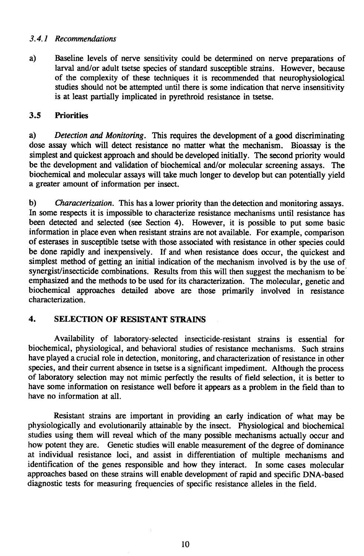#### 3.4.1 Recommendations

 $a)$ Baseline levels of nerve sensitivity could be determined on nerve preparations of larval and/or adult tsetse species of standard susceptible strains. However, because of the complexity of these techniques it is recommended that neurophysiological studies should not be attempted until there is some indication that nerve insensitivity is at least partially implicated in pyrethroid resistance in tsetse.

#### $3.5$ **Priorities**

Detection and Monitoring. This requires the development of a good discriminating a) dose assay which will detect resistance no matter what the mechanism. Bioassay is the simplest and quickest approach and should be developed initially. The second priority would be the development and validation of biochemical and/or molecular screening assays. The biochemical and molecular assays will take much longer to develop but can potentially yield a greater amount of information per insect.

 $\mathbf{b}$ *Characterization.* This has a lower priority than the detection and monitoring assays. In some respects it is impossible to characterize resistance mechanisms until resistance has been detected and selected (see Section 4). However, it is possible to put some basic information in place even when resistant strains are not available. For example, comparison of esterases in susceptible tsetse with those associated with resistance in other species could be done rapidly and inexpensively. If and when resistance does occur, the quickest and simplest method of getting an initial indication of the mechanism involved is by the use of synergist/insecticide combinations. Results from this will then suggest the mechanism to be emphasized and the methods to be used for its characterization. The molecular, genetic and biochemical approaches detailed above are those primarily involved in resistance characterization.

#### $\overline{\mathbf{4}}$ . **SELECTION OF RESISTANT STRAINS**

Availability of laboratory-selected insecticide-resistant strains is essential for biochemical, physiological, and behavioral studies of resistance mechanisms. Such strains have played a crucial role in detection, monitoring, and characterization of resistance in other species, and their current absence in tsetse is a significant impediment. Although the process of laboratory selection may not mimic perfectly the results of field selection, it is better to have some information on resistance well before it appears as a problem in the field than to have no information at all.

Resistant strains are important in providing an early indication of what may be physiologically and evolutionarily attainable by the insect. Physiological and biochemical studies using them will reveal which of the many possible mechanisms actually occur and how potent they are. Genetic studies will enable measurement of the degree of dominance at individual resistance loci, and assist in differentiation of multiple mechanisms and identification of the genes responsible and how they interact. In some cases molecular approaches based on these strains will enable development of rapid and specific DNA-based diagnostic tests for measuring frequencies of specific resistance alleles in the field.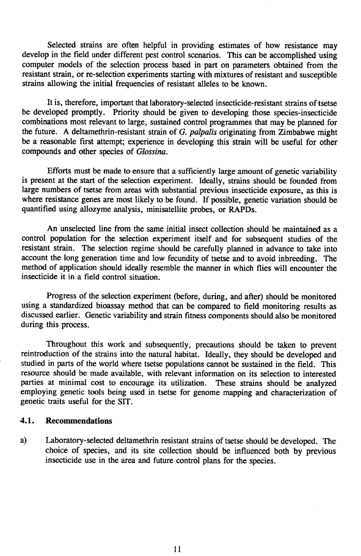Selected strains are often helpful in providing estimates of how resistance may develop in the field under different pest control scenarios. This can be accomplished using computer models of the selection process based in part on parameters obtained from the resistant strain, or re-selection experiments starting with mixtures of resistant and susceptible strains allowing the initial frequencies of resistant alleles to be known.

It is, therefore, important that laboratory-selected insecticide-resistant strains of tsetse be developed promptly. Priority should be given to developing those species-insecticide combinations most relevant to large, sustained control programmes that may be planned for the future. A deltamethrin-resistant strain of  $G$ . palpalis originating from Zimbabwe might be a reasonable first attempt; experience in developing this strain will be useful for other compounds and other species of Glossina.

Efforts must be made to ensure that a sufficiently large amount of genetic variability is present at the start of the selection experiment. Ideally, strains should be founded from large numbers of tsetse from areas with substantial previous insecticide exposure, as this is where resistance genes are most likely to be found. If possible, genetic variation should be quantified using allozyme analysis, minisatellite probes, or RAPDs.

An unselected line from the same initial insect collection should be maintained as a control population for the selection experiment itself and for subsequent studies of the resistant strain. The selection regime should be carefully planned in advance to take into account the long generation time and low fecundity of tsetse and to avoid inbreeding. The method of application should ideally resemble the manner in which flies will encounter the insecticide it in a field control situation.

Progress of the selection experiment (before, during, and after) should be monitored using a standardized bioassay method that can be compared to field monitoring results as discussed earlier. Genetic variability and strain fitness components should also be monitored during this process.

Throughout this work and subsequently, precautions should be taken to prevent reintroduction of the strains into the natural habitat. Ideally, they should be developed and studied in parts of the world where tsetse populations cannot be sustained in the field. This resource should be made available, with relevant information on its selection to interested parties at minimal cost to encourage its utilization. These strains should be analyzed employing genetic tools being used in tsetse for genome mapping and characterization of genetic traits useful for the SIT.

#### 4.1. Recommendations

a) Laboratory-selected deltamethrin resistant strains of tsetse should be developed. The choice of species, and its site collection should be influenced both by previous insecticide use in the area and future control plans for the species.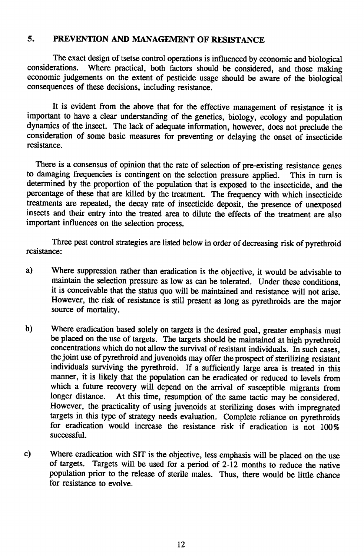## 5. PREVENTION AND MANAGEMENT OF RESISTANCE

The exact design of tsetse control operations is influenced by economic and biological considerations. Where practical, both factors should be considered and those making Where practical, both factors should be considered, and those making economic judgements on the extent of pesticide usage should be aware of the biological consequences of these decisions, including resistance.

It is evident from the above that for the effective management of resistance it is important to have a clear understanding of the genetics, biology, ecology and population dynamics of the insect. The lack of adequate information, however, does not preclude the consideration of some basic measures for preventing or delaying the onset of insecticide resistance.

There is a consensus of opinion that the rate of selection of pre-existing resistance genes to damaging frequencies is contingent on the selection pressure applied. This in tum is determined by the proportion of the population that is exposed to the insecticide, and the percentage of these that are killed by the treatment. The frequency with which insecticide treatments are repeated, the decay rate of insecticide deposit, the presence of unexposed insects and their entry into the treated area to dilute the effects of the treatment are also important influences on the selection process.

Three pest control strategies are listed below in order of decreasing risk of pyrethroid resistance:

- a) Where suppression rather than eradication is the objective, it would be advisable to maintain the selection pressure as low as can be tolerated. Under these conditions, it is conceivable that the status quo will be maintained and resistance will not arise. However, the risk of resistance is still present as long as pyrethroids are the major source of mortality.
- b) Where eradication based solely on targets is the desired goal, greater emphasis must be placed on the use of targets. The targets should be maintained at high pyrethroid concentrations which do not allow the survival of resistant individuals. In such cases, the joint use of pyrethroid and juvenoids may offer the prospect of sterilizing resistant individuals surviving the pyrethroid. If a sufficiently large area is treated in this manner, it is likely that the population can be eradicated or reduced to levels from which a future recovery will depend on the arrival of susceptible migrants from longer distance. At this time, resumption of the same tactic may be considered. However, the practicality of using juvenoids at sterilizing doses with impregnated targets in this type of strategy needs evaluation. Complete reliance on pyrethroids for eradication would increase the resistance risk if eradication is not 100% successful.
- c) Where eradication with SIT is the objective, less emphasis will be placed on the use of targets. Targets will be used for a period of 2-12 months to reduce the native population prior to the release of sterile males. Thus, there would be little chance for resistance to evolve.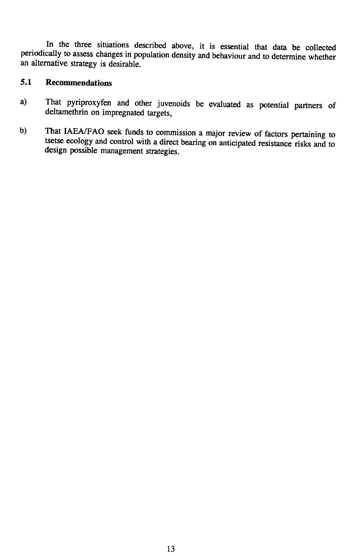In the three situations described above, it is essential that data be collected periodically to assess changes in population density and behaviour and to determine whether an alternative strategy is desirable.

## <span id="page-16-0"></span>5.1 Recommendations

- a) That pyriproxyfen and other juvenoids be evaluated as potential partners of deltamethrin on impregnated targets,
- That IAEA/FAO seek funds to commission a major review of factors pertaining to  $b)$ tsetse ecology and control with a direct bearing on anticipated resistance risks and to design possible management strategies.